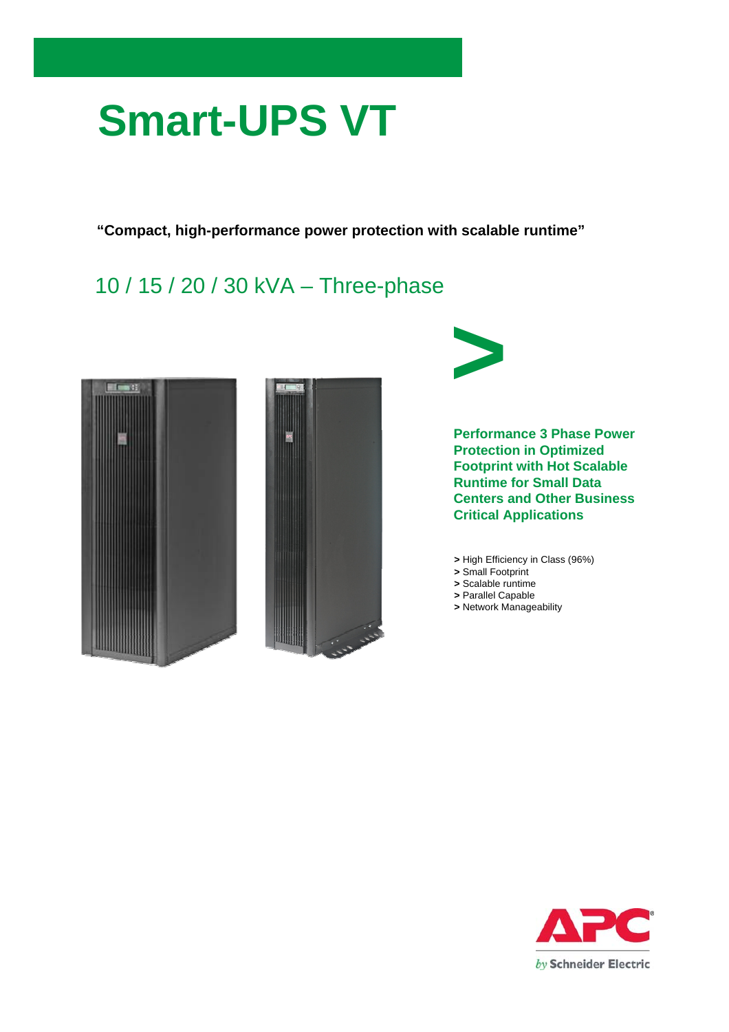# **Smart-UPS VT**

**"Compact, high-performance power protection with scalable runtime"**

### 10 / 15 / 20 / 30 kVA – Three-phase







**Performance 3 Phase Power Protection in Optimized Footprint with Hot Scalable Runtime for Small Data Centers and Other Business Critical Applications**

- **>** High Efficiency in Class (96%)
- **>** Small Footprint
- **>** Scalable runtime
- **>** Parallel Capable
- **>** Network Manageability

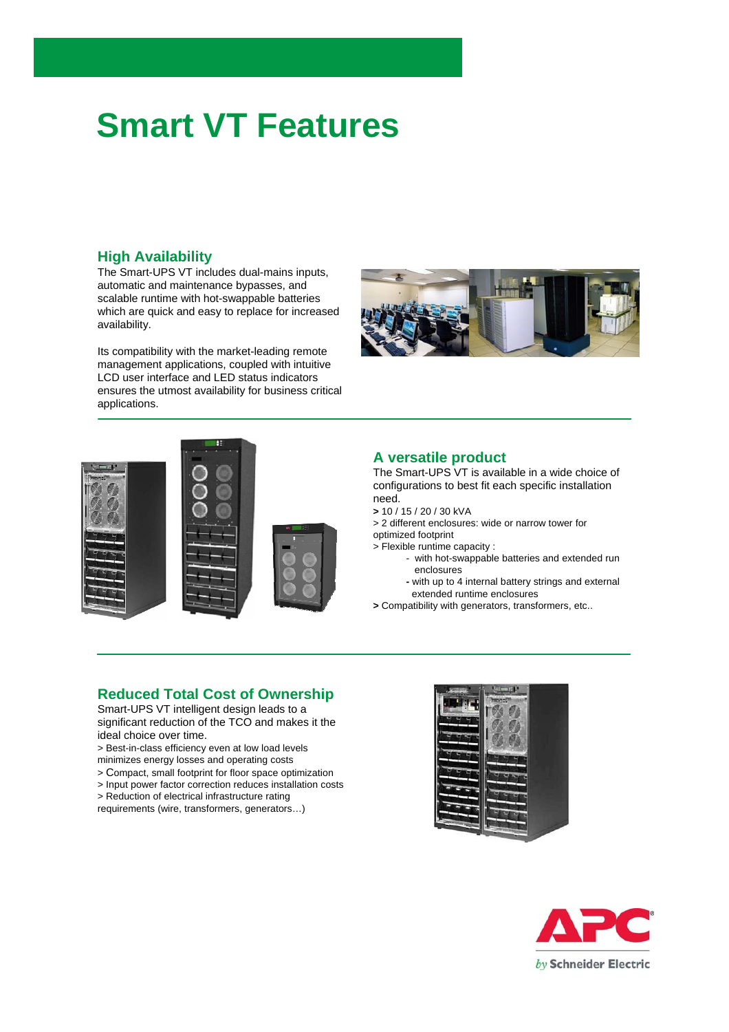### **Smart VT Features**

#### **High Availability**

The Smart-UPS VT includes dual-mains inputs, automatic and maintenance bypasses, and scalable runtime with hot-swappable batteries which are quick and easy to replace for increased availability.

Its compatibility with the market-leading remote management applications, coupled with intuitive LCD user interface and LED status indicators ensures the utmost availability for business critical applications.





#### **A versatile product**

The Smart-UPS VT is available in a wide choice of configurations to best fit each specific installation need.

**>** 10 / 15 / 20 / 30 kVA

> 2 different enclosures: wide or narrow tower for optimized footprint

> Flexible runtime capacity :

- with hot-swappable batteries and extended run enclosures
- **-** with up to 4 internal battery strings and external extended runtime enclosures
- **>** Compatibility with generators, transformers, etc..

#### **Reduced Total Cost of Ownership**

Smart-UPS VT intelligent design leads to a significant reduction of the TCO and makes it the ideal choice over time.

> Best-in-class efficiency even at low load levels minimizes energy losses and operating costs

> Compact, small footprint for floor space optimization

> Input power factor correction reduces installation costs

> Reduction of electrical infrastructure rating

requirements (wire, transformers, generators…)



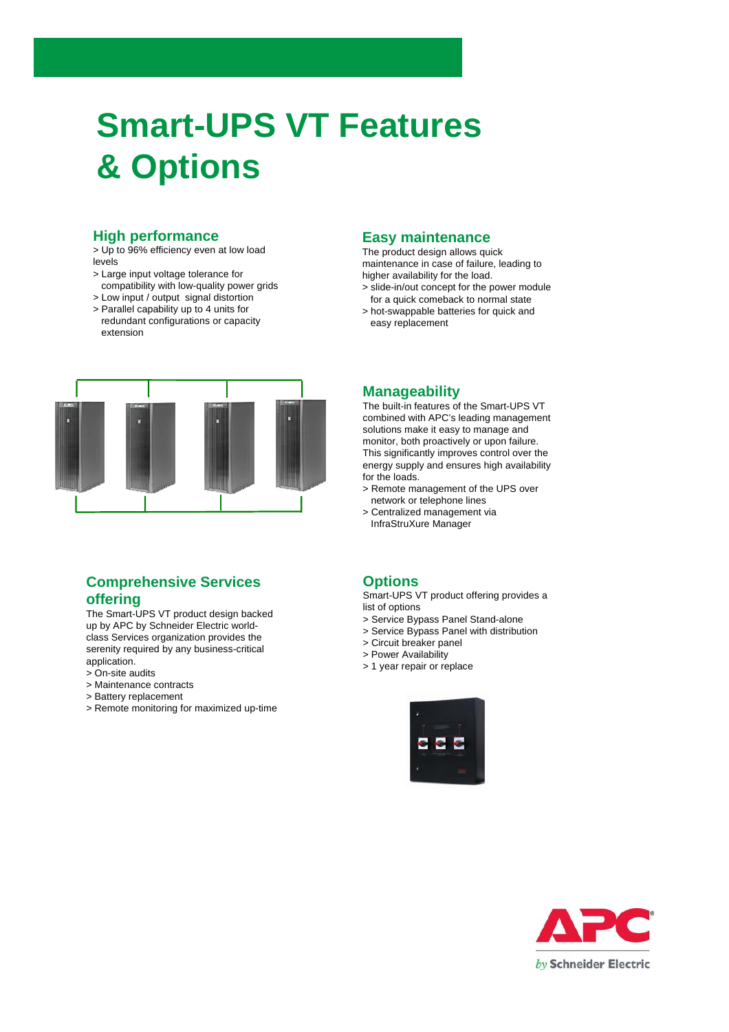## **Smart-UPS VT Features & Options**

#### **High performance**

- > Up to 96% efficiency even at low load levels
- > Large input voltage tolerance for compatibility with low-quality power grids
- > Low input / output signal distortion
- > Parallel capability up to 4 units for
- redundant configurations or capacity extension



#### **Comprehensive Services offering**

The Smart-UPS VT product design backed up by APC by Schneider Electric worldclass Services organization provides the serenity required by any business-critical application.

- > On-site audits
- > Maintenance contracts
- > Battery replacement
- > Remote monitoring for maximized up-time

#### **Easy maintenance**

The product design allows quick maintenance in case of failure, leading to higher availability for the load.

- > slide-in/out concept for the power module for a quick comeback to normal state
- > hot-swappable batteries for quick and easy replacement

#### **Manageability**

The built-in features of the Smart-UPS VT combined with APC's leading management solutions make it easy to manage and monitor, both proactively or upon failure. This significantly improves control over the energy supply and ensures high availability for the loads.

- > Remote management of the UPS over network or telephone lines
- > Centralized management via InfraStruXure Manager

#### **Options**

Smart-UPS VT product offering provides a list of options

- > Service Bypass Panel Stand-alone
- > Service Bypass Panel with distribution
- > Circuit breaker panel
- > Power Availability
- > 1 year repair or replace